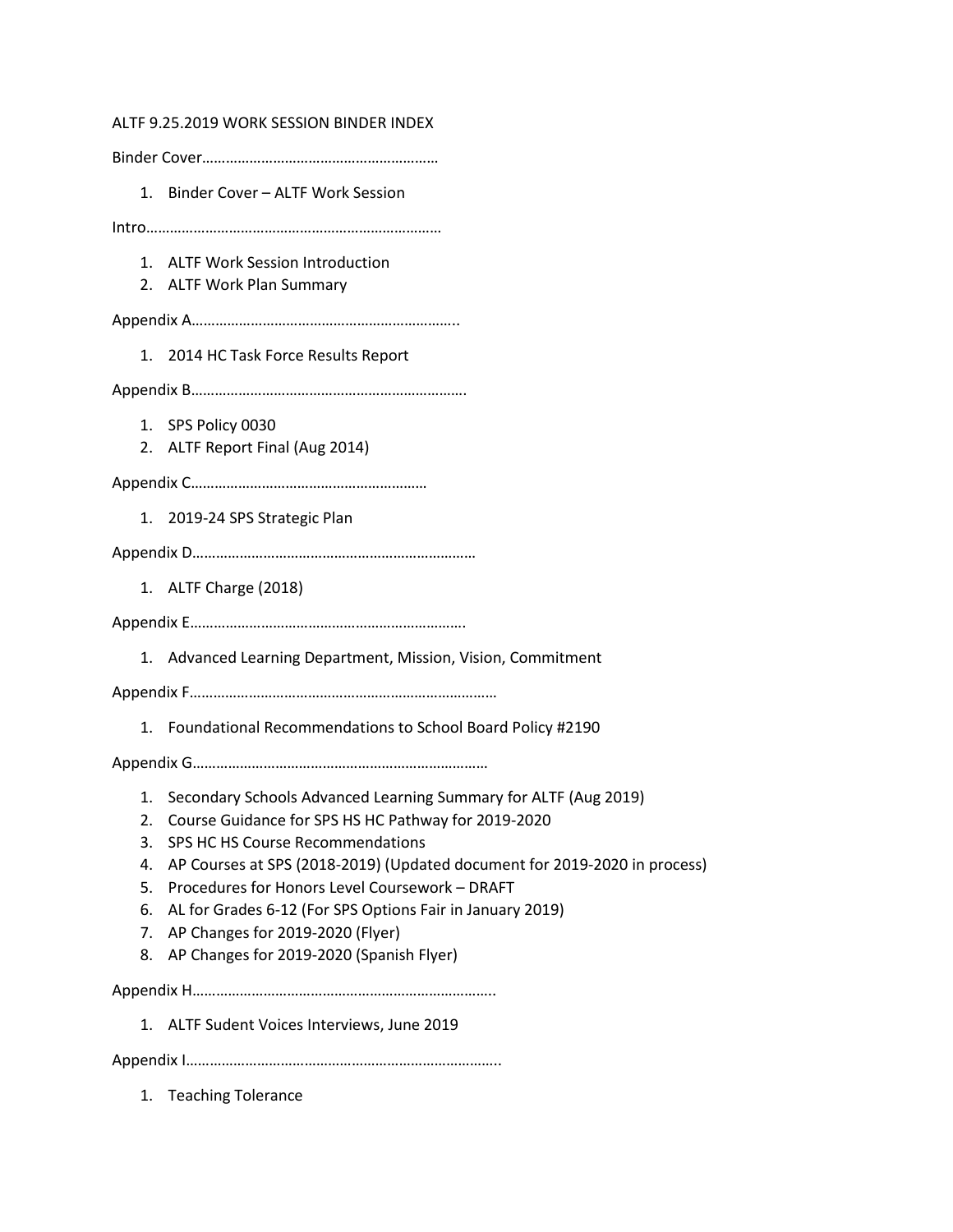ALTF 9.25.2019 WORK SESSION BINDER INDEX Binder Cover…………………………………………………… 1. Binder Cover – ALTF Work Session Intro………………………………………………………………… 1. ALTF Work Session Introduction 2. ALTF Work Plan Summary Appendix A………………………………………………………….. 1. 2014 HC Task Force Results Report Appendix B……………………………………………………………. 1. SPS Policy 0030 2. ALTF Report Final (Aug 2014) Appendix C…………………………………………………… 1. 2019-24 SPS Strategic Plan Appendix D……………………………………………………………… 1. ALTF Charge (2018) Appendix E……………………………………………………………. 1. Advanced Learning Department, Mission, Vision, Commitment Appendix F…………………………………………………………………… 1. Foundational Recommendations to School Board Policy #2190 Appendix G………………………………………………………………… 1. Secondary Schools Advanced Learning Summary for ALTF (Aug 2019) 2. Course Guidance for SPS HS HC Pathway for 2019-2020 3. SPS HC HS Course Recommendations 4. AP Courses at SPS (2018-2019) (Updated document for 2019-2020 in process) 5. Procedures for Honors Level Coursework – DRAFT 6. AL for Grades 6-12 (For SPS Options Fair in January 2019) 7. AP Changes for 2019-2020 (Flyer) 8. AP Changes for 2019-2020 (Spanish Flyer) Appendix H………………………………………………………………….. 1. ALTF Sudent Voices Interviews, June 2019 Appendix I…………………………………………………………………….. 1. Teaching Tolerance